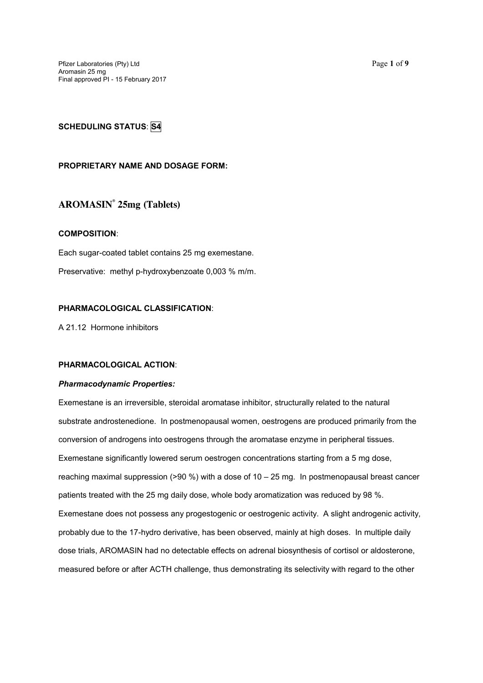Pfizer Laboratories (Pty) Ltd Page **1** of **9** Aromasin 25 mg Final approved PI - 15 February 2017

## **PROPRIETARY NAME AND DOSAGE FORM:**

# **AROMASIN® 25mg (Tablets)**

### **COMPOSITION**:

Each sugar-coated tablet contains 25 mg exemestane.

Preservative: methyl p-hydroxybenzoate 0,003 % m/m.

## **PHARMACOLOGICAL CLASSIFICATION**:

A 21.12 Hormone inhibitors

## **PHARMACOLOGICAL ACTION**:

### *Pharmacodynamic Properties:*

Exemestane is an irreversible, steroidal aromatase inhibitor, structurally related to the natural substrate androstenedione. In postmenopausal women, oestrogens are produced primarily from the conversion of androgens into oestrogens through the aromatase enzyme in peripheral tissues. Exemestane significantly lowered serum oestrogen concentrations starting from a 5 mg dose, reaching maximal suppression  $(>90\%)$  with a dose of  $10-25$  mg. In postmenopausal breast cancer patients treated with the 25 mg daily dose, whole body aromatization was reduced by 98 %. Exemestane does not possess any progestogenic or oestrogenic activity. A slight androgenic activity, probably due to the 17-hydro derivative, has been observed, mainly at high doses. In multiple daily dose trials, AROMASIN had no detectable effects on adrenal biosynthesis of cortisol or aldosterone, measured before or after ACTH challenge, thus demonstrating its selectivity with regard to the other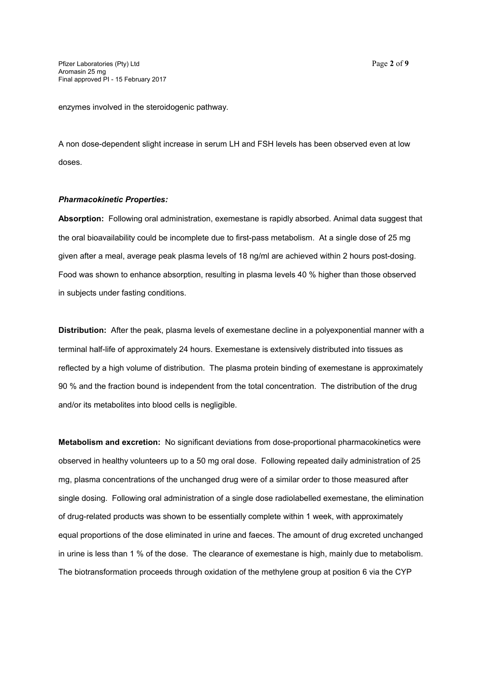enzymes involved in the steroidogenic pathway.

A non dose-dependent slight increase in serum LH and FSH levels has been observed even at low doses.

#### *Pharmacokinetic Properties:*

**Absorption:** Following oral administration, exemestane is rapidly absorbed. Animal data suggest that the oral bioavailability could be incomplete due to first-pass metabolism. At a single dose of 25 mg given after a meal, average peak plasma levels of 18 ng/ml are achieved within 2 hours post-dosing. Food was shown to enhance absorption, resulting in plasma levels 40 % higher than those observed in subjects under fasting conditions.

**Distribution:** After the peak, plasma levels of exemestane decline in a polyexponential manner with a terminal half-life of approximately 24 hours. Exemestane is extensively distributed into tissues as reflected by a high volume of distribution. The plasma protein binding of exemestane is approximately 90 % and the fraction bound is independent from the total concentration. The distribution of the drug and/or its metabolites into blood cells is negligible.

**Metabolism and excretion:** No significant deviations from dose-proportional pharmacokinetics were observed in healthy volunteers up to a 50 mg oral dose. Following repeated daily administration of 25 mg, plasma concentrations of the unchanged drug were of a similar order to those measured after single dosing. Following oral administration of a single dose radiolabelled exemestane, the elimination of drug-related products was shown to be essentially complete within 1 week, with approximately equal proportions of the dose eliminated in urine and faeces. The amount of drug excreted unchanged in urine is less than 1 % of the dose. The clearance of exemestane is high, mainly due to metabolism. The biotransformation proceeds through oxidation of the methylene group at position 6 via the CYP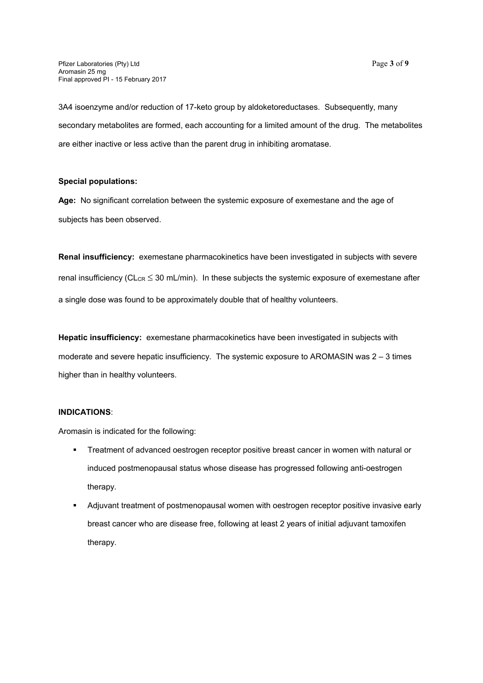3A4 isoenzyme and/or reduction of 17-keto group by aldoketoreductases. Subsequently, many secondary metabolites are formed, each accounting for a limited amount of the drug. The metabolites are either inactive or less active than the parent drug in inhibiting aromatase.

### **Special populations:**

**Age:** No significant correlation between the systemic exposure of exemestane and the age of subjects has been observed.

**Renal insufficiency:** exemestane pharmacokinetics have been investigated in subjects with severe renal insufficiency (CL $_{CR} \leq 30$  mL/min). In these subjects the systemic exposure of exemestane after a single dose was found to be approximately double that of healthy volunteers.

**Hepatic insufficiency:** exemestane pharmacokinetics have been investigated in subjects with moderate and severe hepatic insufficiency. The systemic exposure to AROMASIN was 2 – 3 times higher than in healthy volunteers.

## **INDICATIONS**:

Aromasin is indicated for the following:

- **FIFE** Treatment of advanced oestrogen receptor positive breast cancer in women with natural or induced postmenopausal status whose disease has progressed following anti-oestrogen therapy.
- Adjuvant treatment of postmenopausal women with oestrogen receptor positive invasive early breast cancer who are disease free, following at least 2 years of initial adjuvant tamoxifen therapy.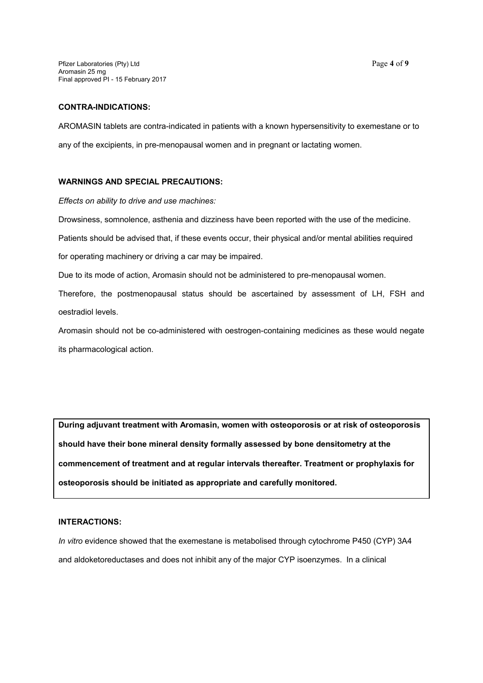Pfizer Laboratories (Pty) Ltd Page **4** of **9** Aromasin 25 mg Final approved PI - 15 February 2017

#### **CONTRA-INDICATIONS:**

AROMASIN tablets are contra-indicated in patients with a known hypersensitivity to exemestane or to any of the excipients, in pre-menopausal women and in pregnant or lactating women.

### **WARNINGS AND SPECIAL PRECAUTIONS:**

*Effects on ability to drive and use machines:*

Drowsiness, somnolence, asthenia and dizziness have been reported with the use of the medicine.

Patients should be advised that, if these events occur, their physical and/or mental abilities required

for operating machinery or driving a car may be impaired.

Due to its mode of action, Aromasin should not be administered to pre-menopausal women.

Therefore, the postmenopausal status should be ascertained by assessment of LH, FSH and oestradiol levels.

Aromasin should not be co-administered with oestrogen-containing medicines as these would negate its pharmacological action.

**During adjuvant treatment with Aromasin, women with osteoporosis or at risk of osteoporosis should have their bone mineral density formally assessed by bone densitometry at the commencement of treatment and at regular intervals thereafter. Treatment or prophylaxis for osteoporosis should be initiated as appropriate and carefully monitored.**

### **INTERACTIONS:**

*In vitro* evidence showed that the exemestane is metabolised through cytochrome P450 (CYP) 3A4 and aldoketoreductases and does not inhibit any of the major CYP isoenzymes. In a clinical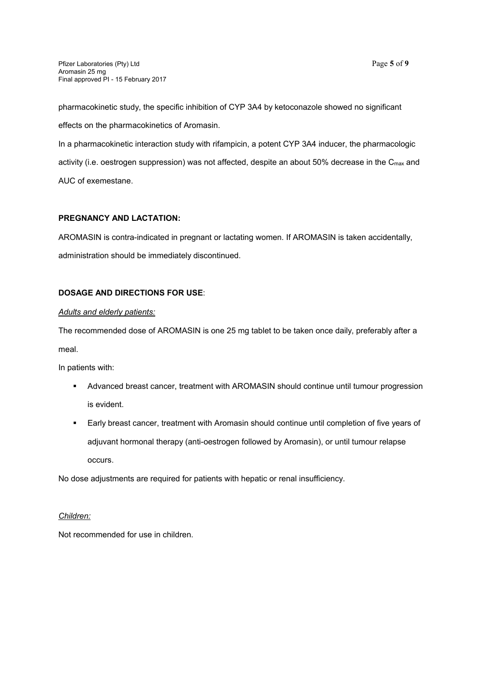effects on the pharmacokinetics of Aromasin.

In a pharmacokinetic interaction study with rifampicin, a potent CYP 3A4 inducer, the pharmacologic activity (i.e. oestrogen suppression) was not affected, despite an about 50% decrease in the Cmax and AUC of exemestane.

# **PREGNANCY AND LACTATION:**

AROMASIN is contra-indicated in pregnant or lactating women. If AROMASIN is taken accidentally, administration should be immediately discontinued.

# **DOSAGE AND DIRECTIONS FOR USE**:

# *Adults and elderly patients:*

The recommended dose of AROMASIN is one 25 mg tablet to be taken once daily, preferably after a meal.

In patients with:

- Advanced breast cancer, treatment with AROMASIN should continue until tumour progression is evident.
- Early breast cancer, treatment with Aromasin should continue until completion of five years of adjuvant hormonal therapy (anti-oestrogen followed by Aromasin), or until tumour relapse occurs.

No dose adjustments are required for patients with hepatic or renal insufficiency.

# *Children:*

Not recommended for use in children.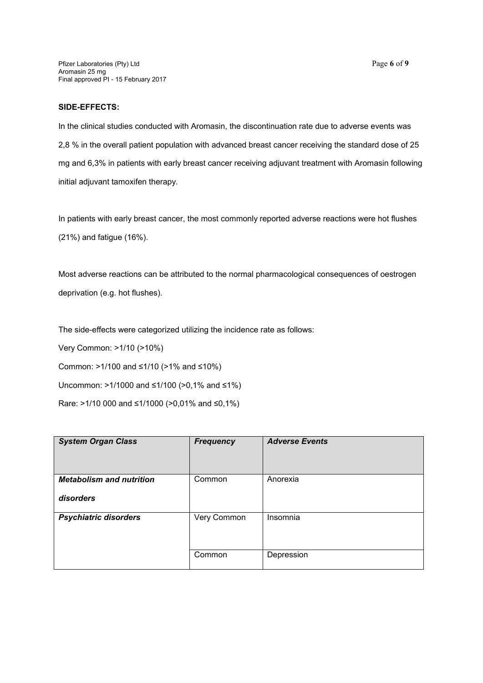Pfizer Laboratories (Pty) Ltd Page **6** of **9** Aromasin 25 mg Final approved PI - 15 February 2017

### **SIDE-EFFECTS:**

In the clinical studies conducted with Aromasin, the discontinuation rate due to adverse events was 2,8 % in the overall patient population with advanced breast cancer receiving the standard dose of 25 mg and 6,3% in patients with early breast cancer receiving adjuvant treatment with Aromasin following initial adjuvant tamoxifen therapy.

In patients with early breast cancer, the most commonly reported adverse reactions were hot flushes (21%) and fatigue (16%).

Most adverse reactions can be attributed to the normal pharmacological consequences of oestrogen deprivation (e.g. hot flushes).

The side-effects were categorized utilizing the incidence rate as follows:

Very Common: >1/10 (>10%)

Common: >1/100 and ≤1/10 (>1% and ≤10%)

Uncommon: >1/1000 and ≤1/100 (>0,1% and ≤1%)

Rare: >1/10 000 and ≤1/1000 (>0,01% and ≤0,1%)

| <b>System Organ Class</b>                    | <b>Frequency</b> | <b>Adverse Events</b> |
|----------------------------------------------|------------------|-----------------------|
| <b>Metabolism and nutrition</b><br>disorders | Common           | Anorexia              |
| <b>Psychiatric disorders</b>                 | Very Common      | Insomnia              |
|                                              | Common           | Depression            |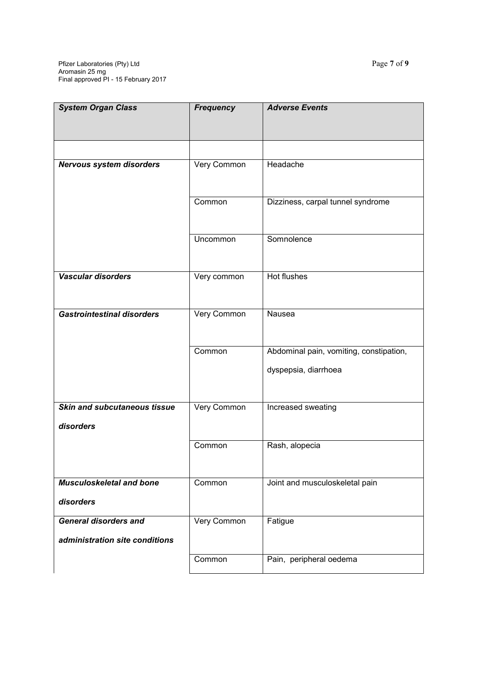| <b>System Organ Class</b>           | <b>Frequency</b> | <b>Adverse Events</b>                   |
|-------------------------------------|------------------|-----------------------------------------|
|                                     |                  |                                         |
|                                     |                  |                                         |
|                                     |                  |                                         |
| <b>Nervous system disorders</b>     | Very Common      | Headache                                |
|                                     |                  |                                         |
|                                     |                  |                                         |
|                                     | Common           | Dizziness, carpal tunnel syndrome       |
|                                     |                  |                                         |
|                                     | Uncommon         | Somnolence                              |
|                                     |                  |                                         |
|                                     |                  |                                         |
| Vascular disorders                  | Very common      | Hot flushes                             |
|                                     |                  |                                         |
|                                     |                  |                                         |
| <b>Gastrointestinal disorders</b>   | Very Common      | Nausea                                  |
|                                     |                  |                                         |
|                                     |                  |                                         |
|                                     | Common           | Abdominal pain, vomiting, constipation, |
|                                     |                  | dyspepsia, diarrhoea                    |
|                                     |                  |                                         |
|                                     |                  |                                         |
| <b>Skin and subcutaneous tissue</b> | Very Common      | Increased sweating                      |
| disorders                           |                  |                                         |
|                                     | Common           | Rash, alopecia                          |
|                                     |                  |                                         |
|                                     |                  |                                         |
| <b>Musculoskeletal and bone</b>     | Common           | Joint and musculoskeletal pain          |
|                                     |                  |                                         |
| disorders                           |                  |                                         |
| <b>General disorders and</b>        | Very Common      | Fatigue                                 |
| administration site conditions      |                  |                                         |
|                                     |                  |                                         |
|                                     | Common           | Pain, peripheral oedema                 |
|                                     |                  |                                         |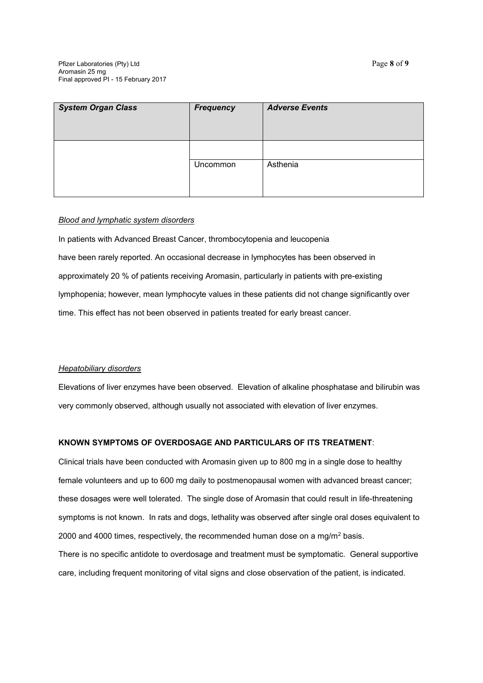| <b>System Organ Class</b> | Frequency | <b>Adverse Events</b> |
|---------------------------|-----------|-----------------------|
|                           | Uncommon  | Asthenia              |

### *Blood and lymphatic system disorders*

In patients with Advanced Breast Cancer, thrombocytopenia and leucopenia have been rarely reported. An occasional decrease in lymphocytes has been observed in approximately 20 % of patients receiving Aromasin, particularly in patients with pre-existing lymphopenia; however, mean lymphocyte values in these patients did not change significantly over time. This effect has not been observed in patients treated for early breast cancer.

# *Hepatobiliary disorders*

Elevations of liver enzymes have been observed. Elevation of alkaline phosphatase and bilirubin was very commonly observed, although usually not associated with elevation of liver enzymes.

# **KNOWN SYMPTOMS OF OVERDOSAGE AND PARTICULARS OF ITS TREATMENT**:

Clinical trials have been conducted with Aromasin given up to 800 mg in a single dose to healthy female volunteers and up to 600 mg daily to postmenopausal women with advanced breast cancer; these dosages were well tolerated. The single dose of Aromasin that could result in life-threatening symptoms is not known. In rats and dogs, lethality was observed after single oral doses equivalent to 2000 and 4000 times, respectively, the recommended human dose on a mg/m<sup>2</sup> basis. There is no specific antidote to overdosage and treatment must be symptomatic. General supportive care, including frequent monitoring of vital signs and close observation of the patient, is indicated.